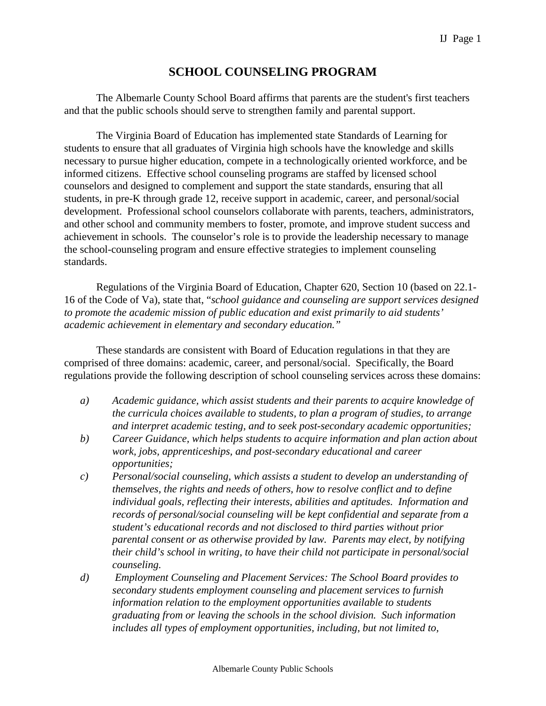## **SCHOOL COUNSELING PROGRAM**

The Albemarle County School Board affirms that parents are the student's first teachers and that the public schools should serve to strengthen family and parental support.

The Virginia Board of Education has implemented state Standards of Learning for students to ensure that all graduates of Virginia high schools have the knowledge and skills necessary to pursue higher education, compete in a technologically oriented workforce, and be informed citizens. Effective school counseling programs are staffed by licensed school counselors and designed to complement and support the state standards, ensuring that all students, in pre-K through grade 12, receive support in academic, career, and personal/social development. Professional school counselors collaborate with parents, teachers, administrators, and other school and community members to foster, promote, and improve student success and achievement in schools. The counselor's role is to provide the leadership necessary to manage the school-counseling program and ensure effective strategies to implement counseling standards.

Regulations of the Virginia Board of Education, Chapter 620, Section 10 (based on 22.1- 16 of the Code of Va), state that, "*school guidance and counseling are support services designed to promote the academic mission of public education and exist primarily to aid students' academic achievement in elementary and secondary education."*

These standards are consistent with Board of Education regulations in that they are comprised of three domains: academic, career, and personal/social. Specifically, the Board regulations provide the following description of school counseling services across these domains:

- *a) Academic guidance, which assist students and their parents to acquire knowledge of the curricula choices available to students, to plan a program of studies, to arrange and interpret academic testing, and to seek post-secondary academic opportunities;*
- *b) Career Guidance, which helps students to acquire information and plan action about work, jobs, apprenticeships, and post-secondary educational and career opportunities;*
- *c) Personal/social counseling, which assists a student to develop an understanding of themselves, the rights and needs of others, how to resolve conflict and to define individual goals, reflecting their interests, abilities and aptitudes. Information and records of personal/social counseling will be kept confidential and separate from a student's educational records and not disclosed to third parties without prior parental consent or as otherwise provided by law. Parents may elect, by notifying their child's school in writing, to have their child not participate in personal/social counseling.*
- *d) Employment Counseling and Placement Services: The School Board provides to secondary students employment counseling and placement services to furnish information relation to the employment opportunities available to students graduating from or leaving the schools in the school division. Such information includes all types of employment opportunities, including, but not limited to,*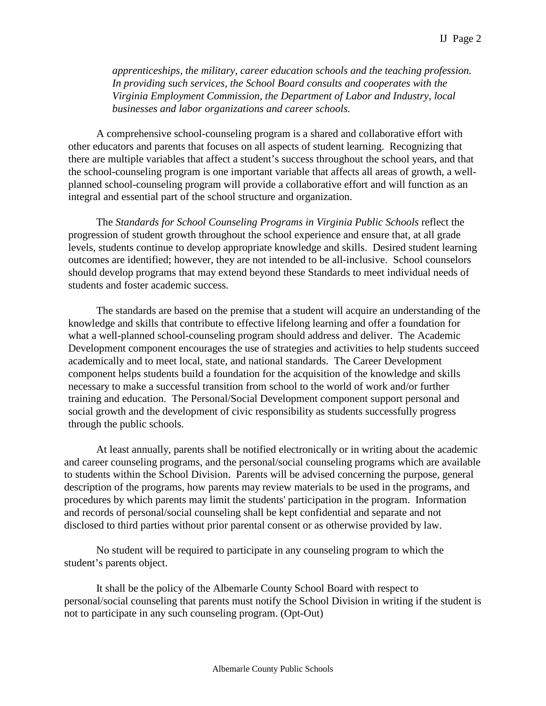*apprenticeships, the military, career education schools and the teaching profession. In providing such services, the School Board consults and cooperates with the Virginia Employment Commission, the Department of Labor and Industry, local businesses and labor organizations and career schools.*

A comprehensive school-counseling program is a shared and collaborative effort with other educators and parents that focuses on all aspects of student learning. Recognizing that there are multiple variables that affect a student's success throughout the school years, and that the school-counseling program is one important variable that affects all areas of growth, a wellplanned school-counseling program will provide a collaborative effort and will function as an integral and essential part of the school structure and organization.

The *Standards for School Counseling Programs in Virginia Public Schools* reflect the progression of student growth throughout the school experience and ensure that, at all grade levels, students continue to develop appropriate knowledge and skills. Desired student learning outcomes are identified; however, they are not intended to be all-inclusive. School counselors should develop programs that may extend beyond these Standards to meet individual needs of students and foster academic success.

The standards are based on the premise that a student will acquire an understanding of the knowledge and skills that contribute to effective lifelong learning and offer a foundation for what a well-planned school-counseling program should address and deliver. The Academic Development component encourages the use of strategies and activities to help students succeed academically and to meet local, state, and national standards. The Career Development component helps students build a foundation for the acquisition of the knowledge and skills necessary to make a successful transition from school to the world of work and/or further training and education. The Personal/Social Development component support personal and social growth and the development of civic responsibility as students successfully progress through the public schools.

At least annually, parents shall be notified electronically or in writing about the academic and career counseling programs, and the personal/social counseling programs which are available to students within the School Division. Parents will be advised concerning the purpose, general description of the programs, how parents may review materials to be used in the programs, and procedures by which parents may limit the students' participation in the program. Information and records of personal/social counseling shall be kept confidential and separate and not disclosed to third parties without prior parental consent or as otherwise provided by law.

No student will be required to participate in any counseling program to which the student's parents object.

It shall be the policy of the Albemarle County School Board with respect to personal/social counseling that parents must notify the School Division in writing if the student is not to participate in any such counseling program. (Opt-Out)